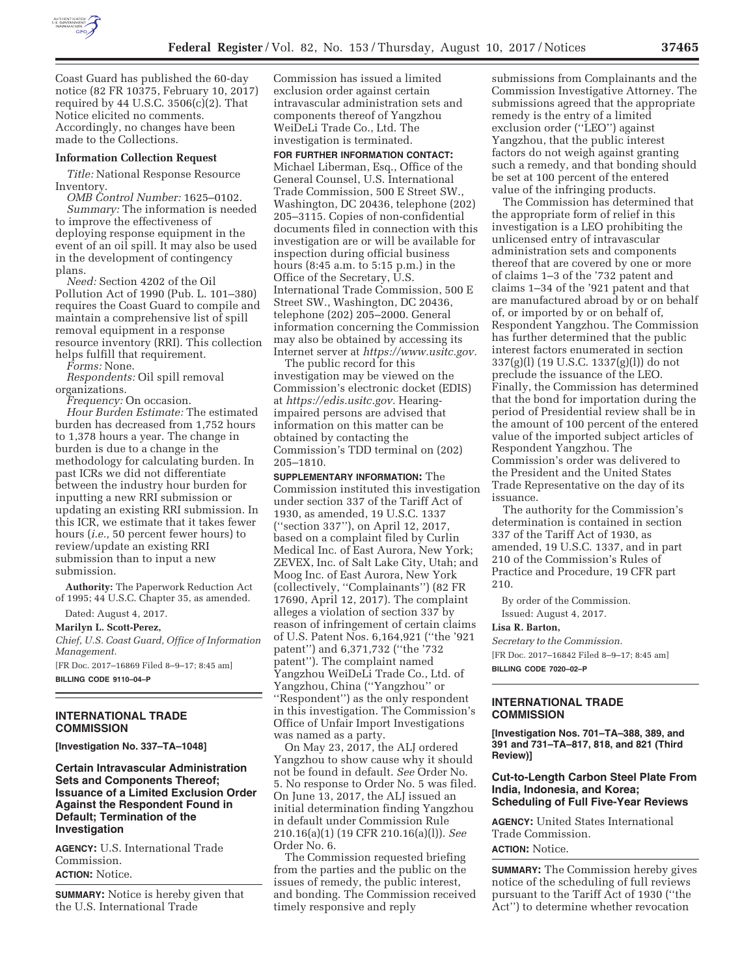

Coast Guard has published the 60-day notice (82 FR 10375, February 10, 2017) required by 44 U.S.C.  $3506(c)(2)$ . That Notice elicited no comments. Accordingly, no changes have been made to the Collections.

#### **Information Collection Request**

*Title:* National Response Resource Inventory.

*OMB Control Number:* 1625–0102. *Summary:* The information is needed to improve the effectiveness of deploying response equipment in the event of an oil spill. It may also be used in the development of contingency plans.

*Need:* Section 4202 of the Oil Pollution Act of 1990 (Pub. L. 101–380) requires the Coast Guard to compile and maintain a comprehensive list of spill removal equipment in a response resource inventory (RRI). This collection helps fulfill that requirement.

*Forms:* None.

*Respondents:* Oil spill removal organizations.

*Frequency:* On occasion.

*Hour Burden Estimate:* The estimated burden has decreased from 1,752 hours to 1,378 hours a year. The change in burden is due to a change in the methodology for calculating burden. In past ICRs we did not differentiate between the industry hour burden for inputting a new RRI submission or updating an existing RRI submission. In this ICR, we estimate that it takes fewer hours (*i.e.,* 50 percent fewer hours) to review/update an existing RRI submission than to input a new submission.

**Authority:** The Paperwork Reduction Act of 1995; 44 U.S.C. Chapter 35, as amended.

Dated: August 4, 2017.

**Marilyn L. Scott-Perez,**  *Chief, U.S. Coast Guard, Office of Information Management.* 

[FR Doc. 2017–16869 Filed 8–9–17; 8:45 am] **BILLING CODE 9110–04–P** 

### **INTERNATIONAL TRADE COMMISSION**

**[Investigation No. 337–TA–1048]** 

**Certain Intravascular Administration Sets and Components Thereof; Issuance of a Limited Exclusion Order Against the Respondent Found in Default; Termination of the Investigation** 

**AGENCY:** U.S. International Trade Commission. **ACTION:** Notice.

**SUMMARY:** Notice is hereby given that the U.S. International Trade

Commission has issued a limited exclusion order against certain intravascular administration sets and components thereof of Yangzhou WeiDeLi Trade Co., Ltd. The investigation is terminated.

**FOR FURTHER INFORMATION CONTACT:**  Michael Liberman, Esq., Office of the General Counsel, U.S. International Trade Commission, 500 E Street SW., Washington, DC 20436, telephone (202) 205–3115. Copies of non-confidential documents filed in connection with this investigation are or will be available for inspection during official business hours (8:45 a.m. to 5:15 p.m.) in the Office of the Secretary, U.S. International Trade Commission, 500 E Street SW., Washington, DC 20436, telephone (202) 205–2000. General information concerning the Commission may also be obtained by accessing its Internet server at *https://www.usitc.gov.* 

The public record for this investigation may be viewed on the Commission's electronic docket (EDIS) at *https://edis.usitc.gov.* Hearingimpaired persons are advised that information on this matter can be obtained by contacting the Commission's TDD terminal on (202) 205–1810.

**SUPPLEMENTARY INFORMATION:** The Commission instituted this investigation under section 337 of the Tariff Act of 1930, as amended, 19 U.S.C. 1337 (''section 337''), on April 12, 2017, based on a complaint filed by Curlin Medical Inc. of East Aurora, New York; ZEVEX, Inc. of Salt Lake City, Utah; and Moog Inc. of East Aurora, New York (collectively, ''Complainants'') (82 FR 17690, April 12, 2017). The complaint alleges a violation of section 337 by reason of infringement of certain claims of U.S. Patent Nos. 6,164,921 (''the '921 patent'') and 6,371,732 (''the '732 patent''). The complaint named Yangzhou WeiDeLi Trade Co., Ltd. of Yangzhou, China (''Yangzhou'' or ''Respondent'') as the only respondent in this investigation. The Commission's Office of Unfair Import Investigations was named as a party.

On May 23, 2017, the ALJ ordered Yangzhou to show cause why it should not be found in default. *See* Order No. 5. No response to Order No. 5 was filed. On June 13, 2017, the ALJ issued an initial determination finding Yangzhou in default under Commission Rule 210.16(a)(1) (19 CFR 210.16(a)(l)). *See*  Order No. 6.

The Commission requested briefing from the parties and the public on the issues of remedy, the public interest, and bonding. The Commission received timely responsive and reply

submissions from Complainants and the Commission Investigative Attorney. The submissions agreed that the appropriate remedy is the entry of a limited exclusion order (''LEO'') against Yangzhou, that the public interest factors do not weigh against granting such a remedy, and that bonding should be set at 100 percent of the entered value of the infringing products.

The Commission has determined that the appropriate form of relief in this investigation is a LEO prohibiting the unlicensed entry of intravascular administration sets and components thereof that are covered by one or more of claims 1–3 of the '732 patent and claims 1–34 of the '921 patent and that are manufactured abroad by or on behalf of, or imported by or on behalf of, Respondent Yangzhou. The Commission has further determined that the public interest factors enumerated in section 337(g)(l) (19 U.S.C. 1337(g)(l)) do not preclude the issuance of the LEO. Finally, the Commission has determined that the bond for importation during the period of Presidential review shall be in the amount of 100 percent of the entered value of the imported subject articles of Respondent Yangzhou. The Commission's order was delivered to the President and the United States Trade Representative on the day of its issuance.

The authority for the Commission's determination is contained in section 337 of the Tariff Act of 1930, as amended, 19 U.S.C. 1337, and in part 210 of the Commission's Rules of Practice and Procedure, 19 CFR part 210.

By order of the Commission. Issued: August 4, 2017.

# **Lisa R. Barton,**

*Secretary to the Commission.*  [FR Doc. 2017–16842 Filed 8–9–17; 8:45 am]

**BILLING CODE 7020–02–P** 

# **INTERNATIONAL TRADE COMMISSION**

**[Investigation Nos. 701–TA–388, 389, and 391 and 731–TA–817, 818, and 821 (Third Review)]** 

## **Cut-to-Length Carbon Steel Plate From India, Indonesia, and Korea; Scheduling of Full Five-Year Reviews**

**AGENCY:** United States International Trade Commission. **ACTION:** Notice.

**SUMMARY:** The Commission hereby gives notice of the scheduling of full reviews pursuant to the Tariff Act of 1930 (''the Act'') to determine whether revocation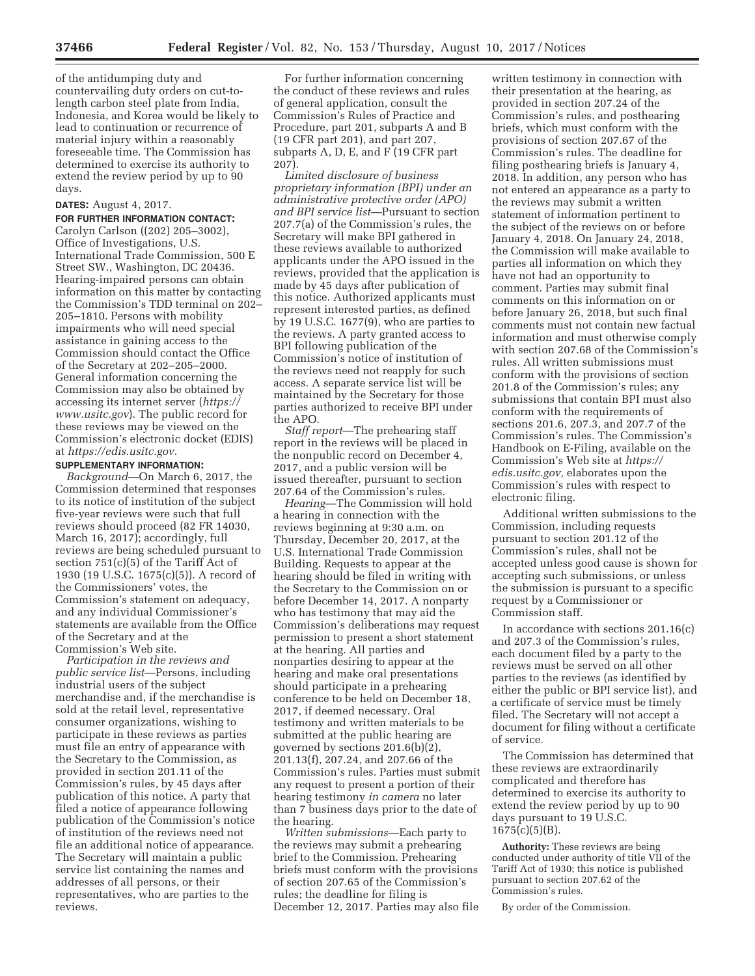of the antidumping duty and countervailing duty orders on cut-tolength carbon steel plate from India, Indonesia, and Korea would be likely to lead to continuation or recurrence of material injury within a reasonably foreseeable time. The Commission has determined to exercise its authority to extend the review period by up to 90 days.

# **DATES:** August 4, 2017.

**FOR FURTHER INFORMATION CONTACT:**  Carolyn Carlson ((202) 205–3002), Office of Investigations, U.S. International Trade Commission, 500 E Street SW., Washington, DC 20436. Hearing-impaired persons can obtain information on this matter by contacting the Commission's TDD terminal on 202– 205–1810. Persons with mobility impairments who will need special assistance in gaining access to the Commission should contact the Office of the Secretary at 202–205–2000. General information concerning the Commission may also be obtained by accessing its internet server (*https:// www.usitc.gov*). The public record for these reviews may be viewed on the Commission's electronic docket (EDIS) at *https://edis.usitc.gov.* 

### **SUPPLEMENTARY INFORMATION:**

*Background*—On March 6, 2017, the Commission determined that responses to its notice of institution of the subject five-year reviews were such that full reviews should proceed (82 FR 14030, March 16, 2017); accordingly, full reviews are being scheduled pursuant to section 751(c)(5) of the Tariff Act of 1930 (19 U.S.C. 1675(c)(5)). A record of the Commissioners' votes, the Commission's statement on adequacy, and any individual Commissioner's statements are available from the Office of the Secretary and at the Commission's Web site.

*Participation in the reviews and public service list*—Persons, including industrial users of the subject merchandise and, if the merchandise is sold at the retail level, representative consumer organizations, wishing to participate in these reviews as parties must file an entry of appearance with the Secretary to the Commission, as provided in section 201.11 of the Commission's rules, by 45 days after publication of this notice. A party that filed a notice of appearance following publication of the Commission's notice of institution of the reviews need not file an additional notice of appearance. The Secretary will maintain a public service list containing the names and addresses of all persons, or their representatives, who are parties to the reviews.

For further information concerning the conduct of these reviews and rules of general application, consult the Commission's Rules of Practice and Procedure, part 201, subparts A and B (19 CFR part 201), and part 207, subparts A, D, E, and F (19 CFR part 207).

*Limited disclosure of business proprietary information (BPI) under an administrative protective order (APO) and BPI service list*—Pursuant to section 207.7(a) of the Commission's rules, the Secretary will make BPI gathered in these reviews available to authorized applicants under the APO issued in the reviews, provided that the application is made by 45 days after publication of this notice. Authorized applicants must represent interested parties, as defined by 19 U.S.C. 1677(9), who are parties to the reviews. A party granted access to BPI following publication of the Commission's notice of institution of the reviews need not reapply for such access. A separate service list will be maintained by the Secretary for those parties authorized to receive BPI under the APO.

*Staff report*—The prehearing staff report in the reviews will be placed in the nonpublic record on December 4, 2017, and a public version will be issued thereafter, pursuant to section 207.64 of the Commission's rules.

*Hearing*—The Commission will hold a hearing in connection with the reviews beginning at 9:30 a.m. on Thursday, December 20, 2017, at the U.S. International Trade Commission Building. Requests to appear at the hearing should be filed in writing with the Secretary to the Commission on or before December 14, 2017. A nonparty who has testimony that may aid the Commission's deliberations may request permission to present a short statement at the hearing. All parties and nonparties desiring to appear at the hearing and make oral presentations should participate in a prehearing conference to be held on December 18, 2017, if deemed necessary. Oral testimony and written materials to be submitted at the public hearing are governed by sections 201.6(b)(2), 201.13(f), 207.24, and 207.66 of the Commission's rules. Parties must submit any request to present a portion of their hearing testimony *in camera* no later than 7 business days prior to the date of the hearing.

*Written submissions*—Each party to the reviews may submit a prehearing brief to the Commission. Prehearing briefs must conform with the provisions of section 207.65 of the Commission's rules; the deadline for filing is December 12, 2017. Parties may also file

written testimony in connection with their presentation at the hearing, as provided in section 207.24 of the Commission's rules, and posthearing briefs, which must conform with the provisions of section 207.67 of the Commission's rules. The deadline for filing posthearing briefs is January 4, 2018. In addition, any person who has not entered an appearance as a party to the reviews may submit a written statement of information pertinent to the subject of the reviews on or before January 4, 2018. On January 24, 2018, the Commission will make available to parties all information on which they have not had an opportunity to comment. Parties may submit final comments on this information on or before January 26, 2018, but such final comments must not contain new factual information and must otherwise comply with section 207.68 of the Commission's rules. All written submissions must conform with the provisions of section 201.8 of the Commission's rules; any submissions that contain BPI must also conform with the requirements of sections 201.6, 207.3, and 207.7 of the Commission's rules. The Commission's Handbook on E-Filing, available on the Commission's Web site at *https:// edis.usitc.gov,* elaborates upon the Commission's rules with respect to electronic filing.

Additional written submissions to the Commission, including requests pursuant to section 201.12 of the Commission's rules, shall not be accepted unless good cause is shown for accepting such submissions, or unless the submission is pursuant to a specific request by a Commissioner or Commission staff.

In accordance with sections 201.16(c) and 207.3 of the Commission's rules, each document filed by a party to the reviews must be served on all other parties to the reviews (as identified by either the public or BPI service list), and a certificate of service must be timely filed. The Secretary will not accept a document for filing without a certificate of service.

The Commission has determined that these reviews are extraordinarily complicated and therefore has determined to exercise its authority to extend the review period by up to 90 days pursuant to 19 U.S.C. 1675(c)(5)(B).

**Authority:** These reviews are being conducted under authority of title VII of the Tariff Act of 1930; this notice is published pursuant to section 207.62 of the Commission's rules.

By order of the Commission.